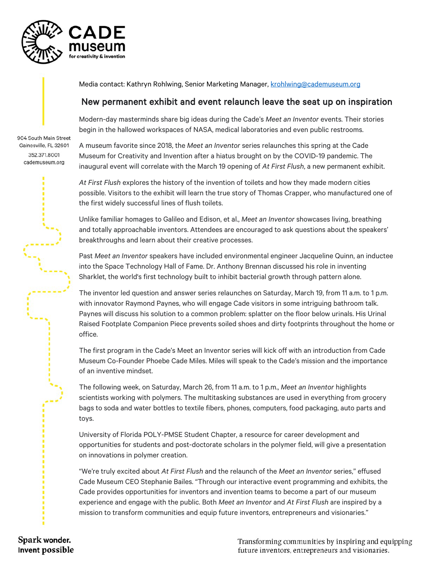

Media contact: Kathryn Rohlwing, Senior Marketing Manager, [krohlwing@cademuseum.org](mailto:krohlwing@cademuseum.org)

## New permanent exhibit and event relaunch leave the seat up on inspiration

Modern-day masterminds share big ideas during the Cade's *Meet an Inventor* events. Their stories begin in the hallowed workspaces of NASA, medical laboratories and even public restrooms.

904 South Main Street Gainesville, FL 32601 352.371.8001 cademuseum.org

A museum favorite since 2018, the *Meet an Inventor* series relaunches this spring at the Cade Museum for Creativity and Invention after a hiatus brought on by the COVID-19 pandemic. The inaugural event will correlate with the March 19 opening of *At First Flush*, a new permanent exhibit.

*At First Flush* explores the history of the invention of toilets and how they made modern cities possible. Visitors to the exhibit will learn the true story of Thomas Crapper, who manufactured one of the first widely successful lines of flush toilets.

Unlike familiar homages to Galileo and Edison, et al., *Meet an Inventor* showcases living, breathing and totally approachable inventors. Attendees are encouraged to ask questions about the speakers' breakthroughs and learn about their creative processes.

Past *Meet an Inventor* speakers have included environmental engineer Jacqueline Quinn, an inductee into the Space Technology Hall of Fame. Dr. Anthony Brennan discussed his role in inventing Sharklet, the world's first technology built to inhibit bacterial growth through pattern alone.

The inventor led question and answer series relaunches on Saturday, March 19, from 11 a.m. to 1 p.m. with innovator Raymond Paynes, who will engage Cade visitors in some intriguing bathroom talk. Paynes will discuss his solution to a common problem: splatter on the floor below urinals. His Urinal Raised Footplate Companion Piece prevents soiled shoes and dirty footprints throughout the home or office.

The first program in the Cade's Meet an Inventor series will kick off with an introduction from Cade Museum Co-Founder Phoebe Cade Miles. Miles will speak to the Cade's mission and the importance of an inventive mindset.

The following week, on Saturday, March 26, from 11 a.m. to 1 p.m., *Meet an Inventor* highlights scientists working with polymers. The multitasking substances are used in everything from grocery bags to soda and water bottles to textile fibers, phones, computers, food packaging, auto parts and toys.

University of Florida POLY-PMSE Student Chapter, a resource for career development and opportunities for students and post-doctorate scholars in the polymer field, will give a presentation on innovations in polymer creation.

"We're truly excited about *At First Flush* and the relaunch of the *Meet an Inventor* series," effused Cade Museum CEO Stephanie Bailes. "Through our interactive event programming and exhibits, the Cade provides opportunities for inventors and invention teams to become a part of our museum experience and engage with the public. Both *Meet an Inventor* and *At First Flush* are inspired by a mission to transform communities and equip future inventors, entrepreneurs and visionaries."

Spark wonder. Invent possible

Transforming communities by inspiring and equipping future inventors, entrepreneurs and visionaries.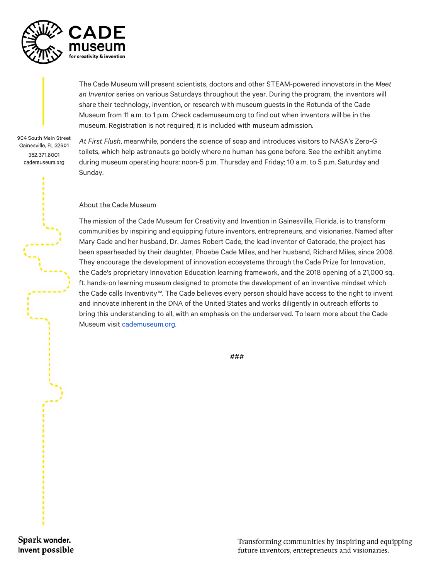

The Cade Museum will present scientists, doctors and other STEAM-powered innovators in the *Meet an Inventor* series on various Saturdays throughout the year. During the program, the inventors will share their technology, invention, or research with museum guests in the Rotunda of the Cade Museum from 11 a.m. to 1 p.m. Check cademuseum.org to find out when inventors will be in the museum. Registration is not required; it is included with museum admission.

904 South Main Street Gainesville, FL 32601 352.371.8001 cademuseum.org

*At First Flush*, meanwhile, ponders the science of soap and introduces visitors to NASA's Zero-G toilets, which help astronauts go boldly where no human has gone before. See the exhibit anytime during museum operating hours: noon-5 p.m. Thursday and Friday; 10 a.m. to 5 p.m. Saturday and Sunday.

## About the Cade Museum

The mission of the Cade Museum for Creativity and Invention in Gainesville, Florida, is to transform communities by inspiring and equipping future inventors, entrepreneurs, and visionaries. Named after Mary Cade and her husband, Dr. James Robert Cade, the lead inventor of Gatorade, the project has been spearheaded by their daughter, Phoebe Cade Miles, and her husband, Richard Miles, since 2006. They encourage the development of innovation ecosystems through the Cade Prize for Innovation, the Cade's proprietary Innovation Education learning framework, and the 2018 opening of a 21,000 sq. ft. hands-on learning museum designed to promote the development of an inventive mindset which the Cade calls Inventivity™. The Cade believes every person should have access to the right to invent and innovate inherent in the DNA of the United States and works diligently in outreach efforts to bring this understanding to all, with an emphasis on the underserved. To learn more about the Cade Museum visit [cademuseum.org.](http://cademuseum.org/) 

###

Spark wonder. Invent possible

Transforming communities by inspiring and equipping future inventors, entrepreneurs and visionaries.